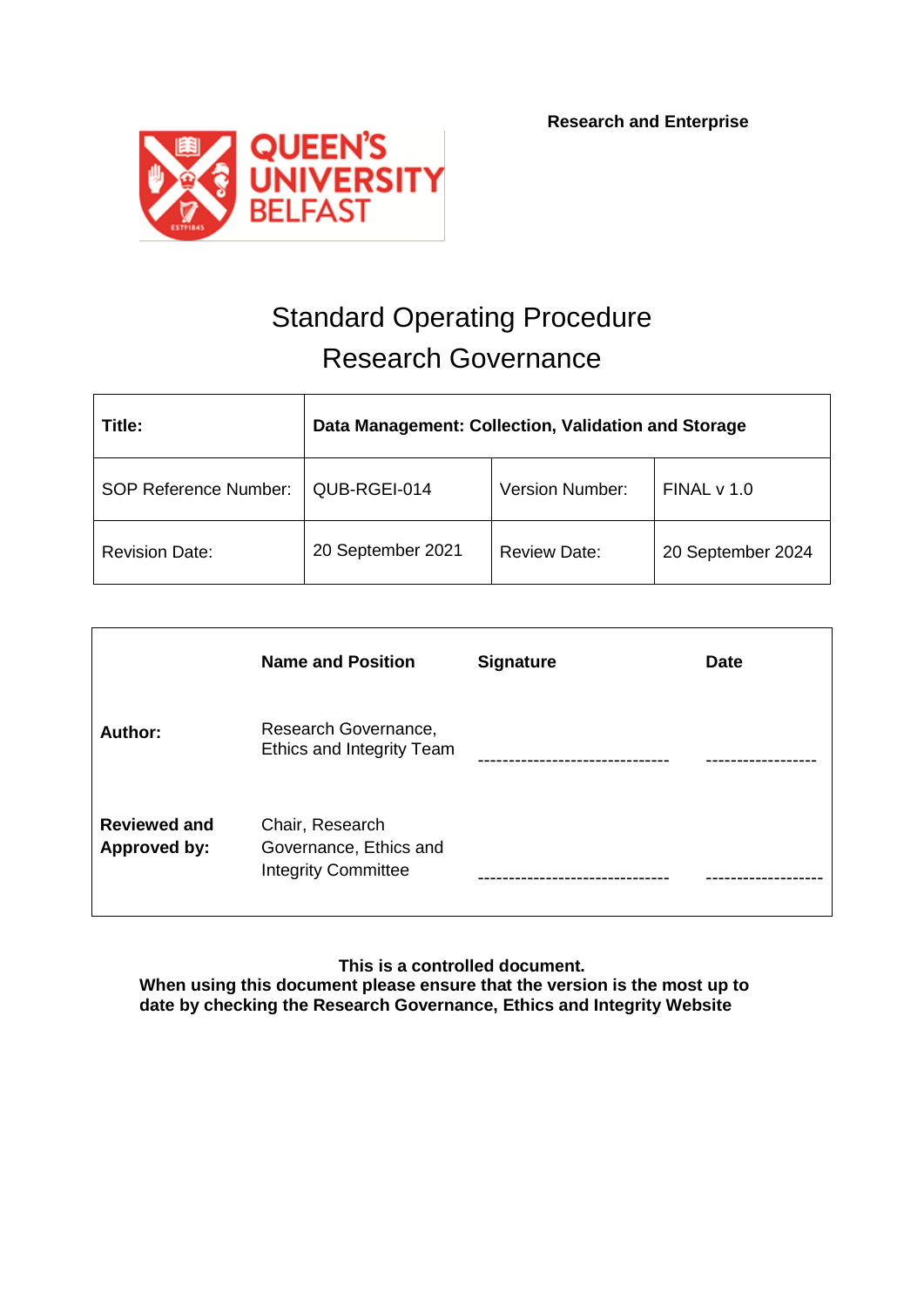

# Standard Operating Procedure Research Governance

| Title:                       | Data Management: Collection, Validation and Storage |                     |                   |  |
|------------------------------|-----------------------------------------------------|---------------------|-------------------|--|
| <b>SOP Reference Number:</b> | QUB-RGEI-014                                        | Version Number:     | FINALV 1.0        |  |
| <b>Revision Date:</b>        | 20 September 2021                                   | <b>Review Date:</b> | 20 September 2024 |  |

|                                     | <b>Name and Position</b>                                                | <b>Signature</b> | <b>Date</b> |
|-------------------------------------|-------------------------------------------------------------------------|------------------|-------------|
| Author:                             | Research Governance,<br>Ethics and Integrity Team                       |                  |             |
| <b>Reviewed and</b><br>Approved by: | Chair, Research<br>Governance, Ethics and<br><b>Integrity Committee</b> |                  |             |

**This is a controlled document.**

**When using this document please ensure that the version is the most up to date by checking the Research Governance, Ethics and Integrity Website**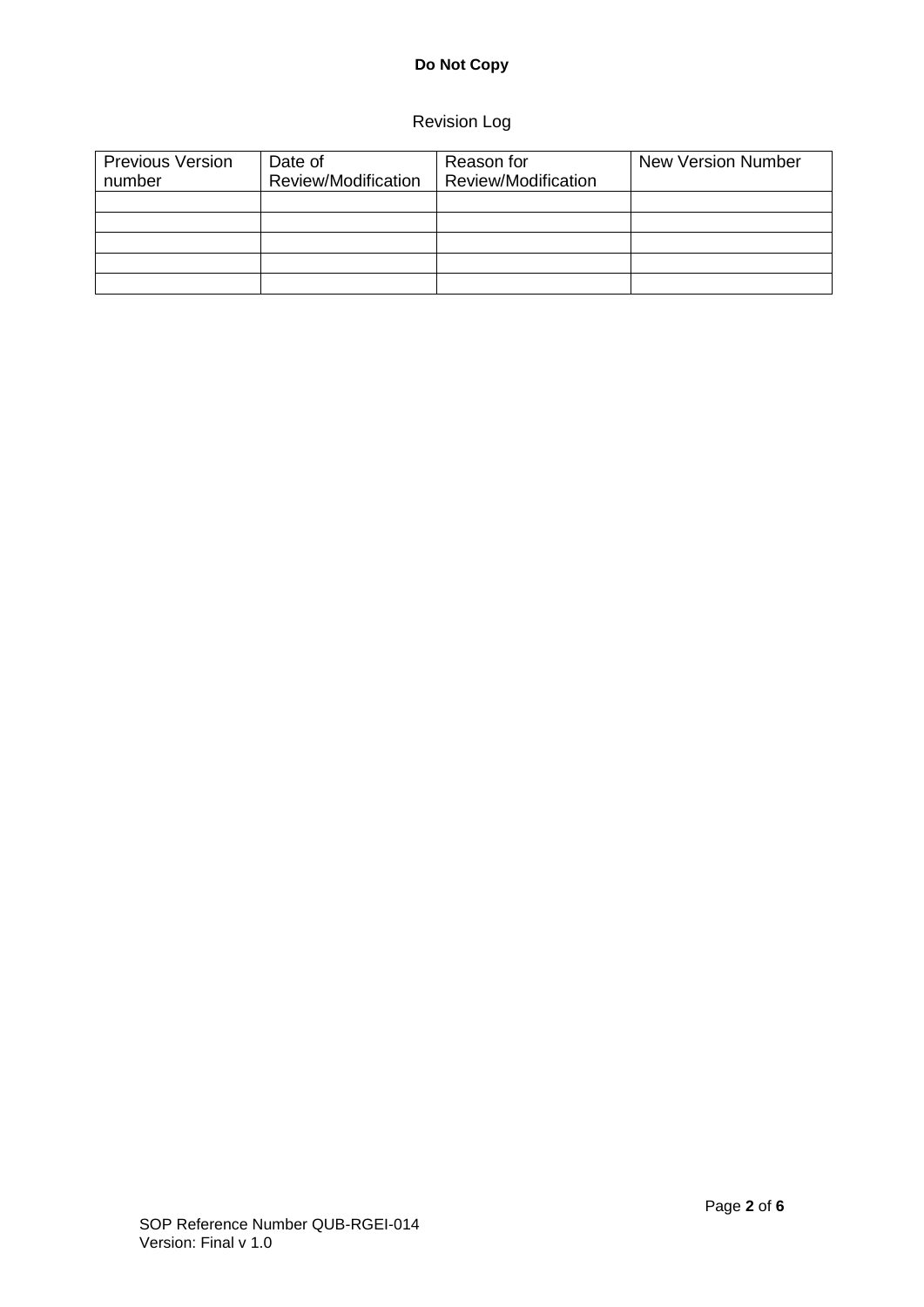# **Do Not Copy**

# Revision Log

| <b>Previous Version</b><br>number | Date of<br>Review/Modification | Reason for<br>Review/Modification | <b>New Version Number</b> |
|-----------------------------------|--------------------------------|-----------------------------------|---------------------------|
|                                   |                                |                                   |                           |
|                                   |                                |                                   |                           |
|                                   |                                |                                   |                           |
|                                   |                                |                                   |                           |
|                                   |                                |                                   |                           |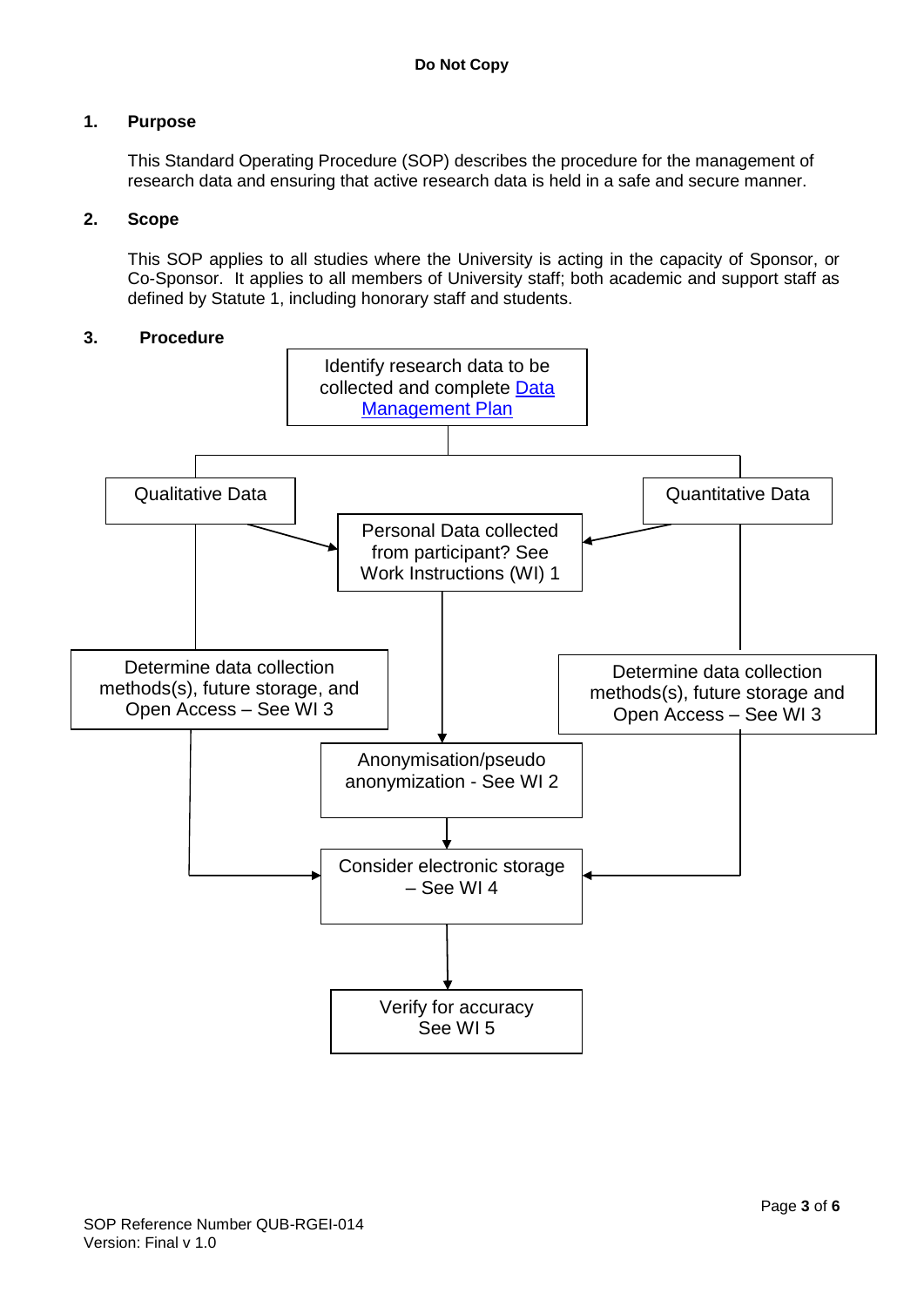## **1. Purpose**

This Standard Operating Procedure (SOP) describes the procedure for the management of research data and ensuring that active research data is held in a safe and secure manner.

#### **2. Scope**

This SOP applies to all studies where the University is acting in the capacity of Sponsor, or Co-Sponsor. It applies to all members of University staff; both academic and support staff as defined by Statute 1, including honorary staff and students.

#### **3. Procedure**

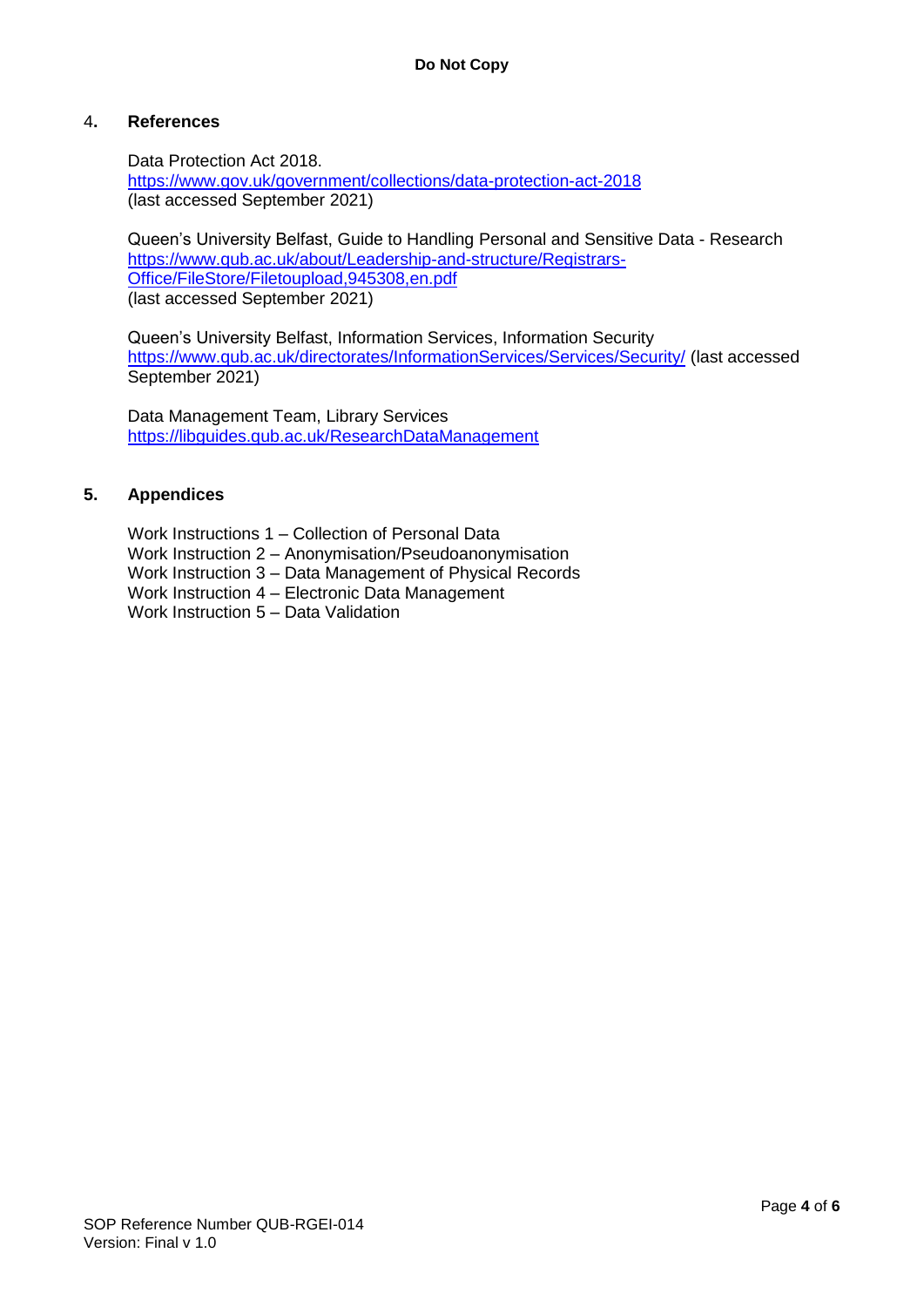#### 4**. References**

Data Protection Act 2018. <https://www.gov.uk/government/collections/data-protection-act-2018> (last accessed September 2021)

Queen's University Belfast, Guide to Handling Personal and Sensitive Data - Research [https://www.qub.ac.uk/about/Leadership-and-structure/Registrars-](https://www.qub.ac.uk/about/Leadership-and-structure/Registrars-Office/FileStore/Filetoupload,945308,en.pdf)[Office/FileStore/Filetoupload,945308,en.pdf](https://www.qub.ac.uk/about/Leadership-and-structure/Registrars-Office/FileStore/Filetoupload,945308,en.pdf) (last accessed September 2021)

Queen's University Belfast, Information Services, Information Security <https://www.qub.ac.uk/directorates/InformationServices/Services/Security/> (last accessed September 2021)

Data Management Team, Library Services <https://libguides.qub.ac.uk/ResearchDataManagement>

#### **5. Appendices**

Work Instructions 1 – Collection of Personal Data Work Instruction 2 – Anonymisation/Pseudoanonymisation Work Instruction 3 – Data Management of Physical Records Work Instruction 4 – Electronic Data Management Work Instruction 5 – Data Validation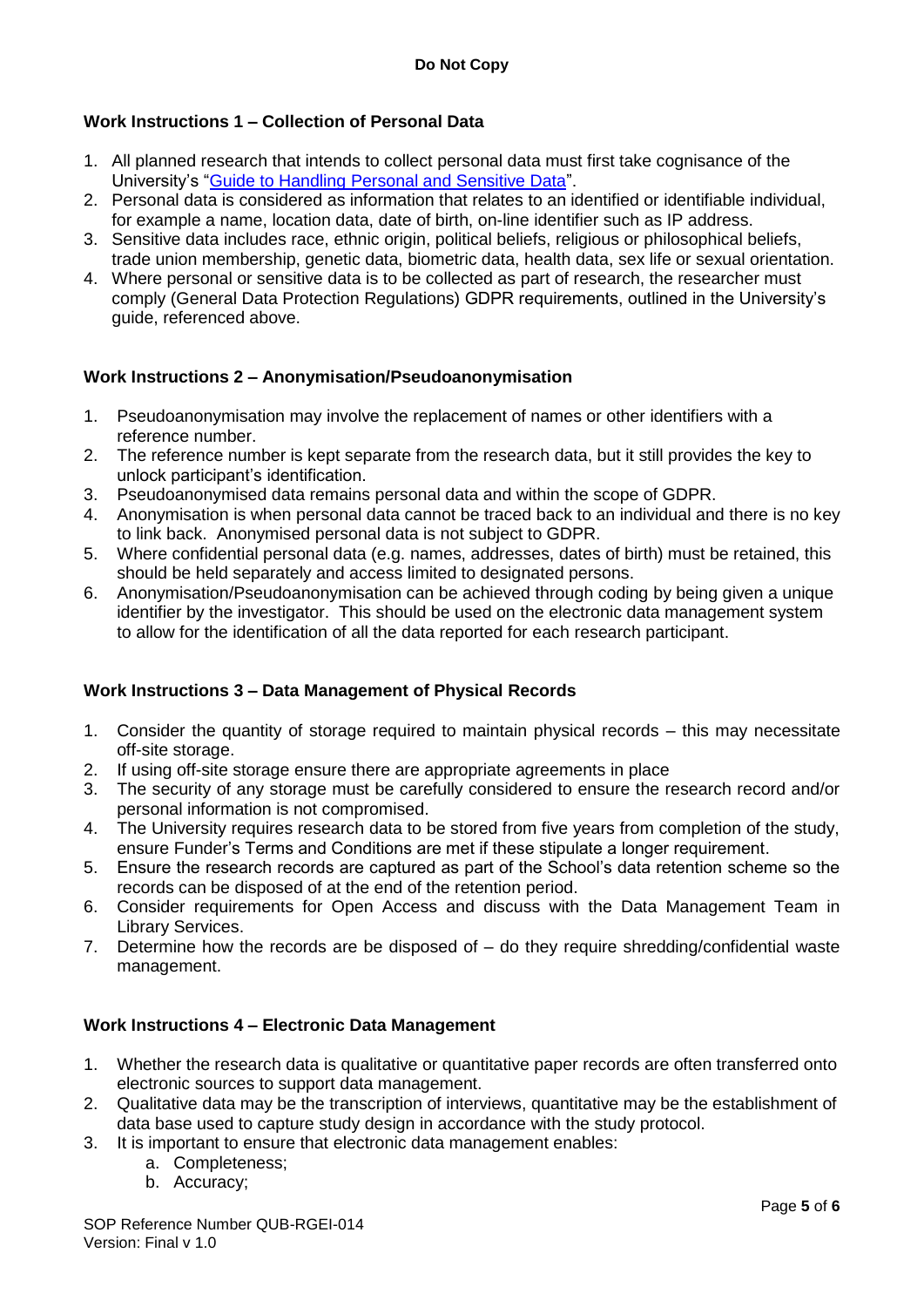## **Work Instructions 1 – Collection of Personal Data**

- 1. All planned research that intends to collect personal data must first take cognisance of the University's ["Guide to Handling Personal and Sensitive Data"](https://www.qub.ac.uk/about/Leadership-and-structure/Registrars-Office/FileStore/Filetoupload,945308,en.pdf).
- 2. Personal data is considered as information that relates to an identified or identifiable individual, for example a name, location data, date of birth, on-line identifier such as IP address.
- 3. Sensitive data includes race, ethnic origin, political beliefs, religious or philosophical beliefs, trade union membership, genetic data, biometric data, health data, sex life or sexual orientation.
- 4. Where personal or sensitive data is to be collected as part of research, the researcher must comply (General Data Protection Regulations) GDPR requirements, outlined in the University's guide, referenced above.

#### **Work Instructions 2 – Anonymisation/Pseudoanonymisation**

- 1. Pseudoanonymisation may involve the replacement of names or other identifiers with a reference number.
- 2. The reference number is kept separate from the research data, but it still provides the key to unlock participant's identification.
- 3. Pseudoanonymised data remains personal data and within the scope of GDPR.
- 4. Anonymisation is when personal data cannot be traced back to an individual and there is no key to link back. Anonymised personal data is not subject to GDPR.
- 5. Where confidential personal data (e.g. names, addresses, dates of birth) must be retained, this should be held separately and access limited to designated persons.
- 6. Anonymisation/Pseudoanonymisation can be achieved through coding by being given a unique identifier by the investigator. This should be used on the electronic data management system to allow for the identification of all the data reported for each research participant.

## **Work Instructions 3 – Data Management of Physical Records**

- 1. Consider the quantity of storage required to maintain physical records this may necessitate off-site storage.
- 2. If using off-site storage ensure there are appropriate agreements in place
- 3. The security of any storage must be carefully considered to ensure the research record and/or personal information is not compromised.
- 4. The University requires research data to be stored from five years from completion of the study, ensure Funder's Terms and Conditions are met if these stipulate a longer requirement.
- 5. Ensure the research records are captured as part of the School's data retention scheme so the records can be disposed of at the end of the retention period.
- 6. Consider requirements for Open Access and discuss with the Data Management Team in Library Services.
- 7. Determine how the records are be disposed of do they require shredding/confidential waste management.

#### **Work Instructions 4 – Electronic Data Management**

- 1. Whether the research data is qualitative or quantitative paper records are often transferred onto electronic sources to support data management.
- 2. Qualitative data may be the transcription of interviews, quantitative may be the establishment of data base used to capture study design in accordance with the study protocol.
- 3. It is important to ensure that electronic data management enables:
	- a. Completeness;
	- b. Accuracy;